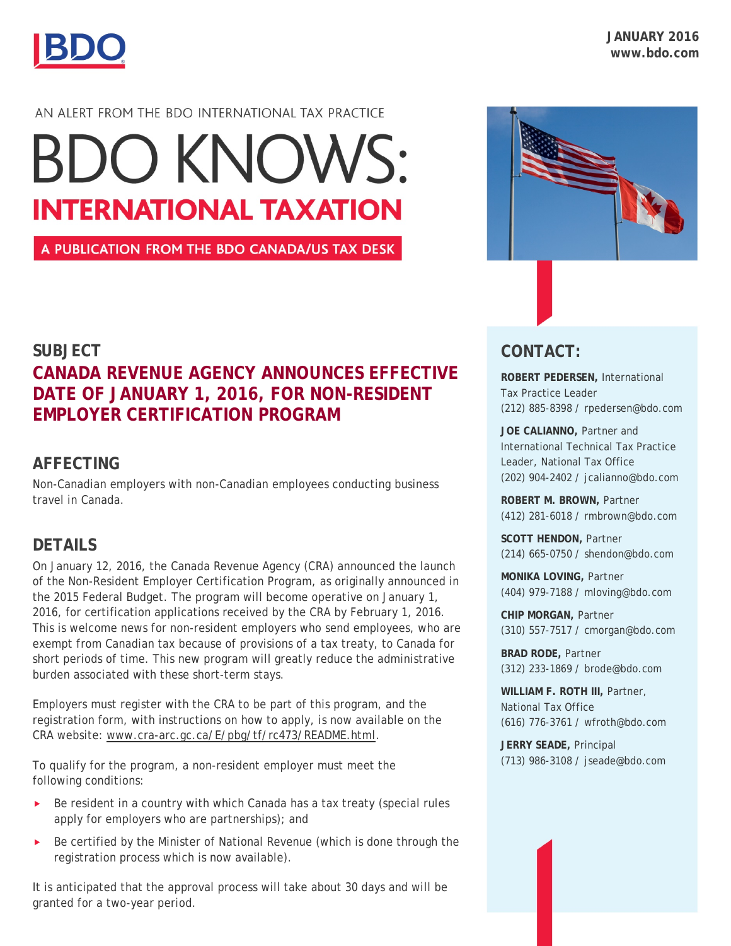

#### AN ALERT FROM THE BDO INTERNATIONAL TAX PRACTICE

# **BDO KNOWS: INTERNATIONAL TAXATION**

A PUBLICATION FROM THE BDO CANADA/US TAX DESK

## **SUBJECT CANADA REVENUE AGENCY ANNOUNCES EFFECTIVE DATE OF JANUARY 1, 2016, FOR NON-RESIDENT EMPLOYER CERTIFICATION PROGRAM**

### **AFFECTING**

Non-Canadian employers with non-Canadian employees conducting business travel in Canada.

### **DETAILS**

On January 12, 2016, the Canada Revenue Agency (CRA) announced the launch of the Non-Resident Employer Certification Program, as originally announced in the 2015 Federal Budget. The program will become operative on January 1, 2016, for certification applications received by the CRA by February 1, 2016. This is welcome news for non-resident employers who send employees, who are exempt from Canadian tax because of provisions of a tax treaty, to Canada for short periods of time. This new program will greatly reduce the administrative burden associated with these short-term stays.

Employers must register with the CRA to be part of this program, and the registration form, with instructions on how to apply, is now available on the CRA website: [www.cra-arc.gc.ca/E/pbg/tf/rc473/README.html.](http://www.cra-arc.gc.ca/E/pbg/tf/rc473/README.html)

To qualify for the program, a non-resident employer must meet the following conditions:

- $\triangleright$  Be resident in a country with which Canada has a tax treaty (special rules apply for employers who are partnerships); and
- $\triangleright$  Be certified by the Minister of National Revenue (which is done through the registration process which is now available).

It is anticipated that the approval process will take about 30 days and will be granted for a two-year period.



## **CONTACT:**

**ROBERT PEDERSEN,** International Tax Practice Leader (212) 885-8398 / rpedersen@bdo.com

**JOE CALIANNO,** Partner and International Technical Tax Practice Leader, National Tax Office (202) 904-2402 / jcalianno@bdo.com

**ROBERT M. BROWN,** Partner (412) 281-6018 / rmbrown@bdo.com

**SCOTT HENDON,** Partner (214) 665-0750 / shendon@bdo.com

**MONIKA LOVING,** Partner (404) 979-7188 / mloving@bdo.com

**CHIP MORGAN,** Partner (310) 557-7517 / cmorgan@bdo.com

**BRAD RODE,** Partner (312) 233-1869 / brode@bdo.com

**WILLIAM F. ROTH III,** Partner, National Tax Office (616) 776-3761 / wfroth@bdo.com

**JERRY SEADE,** Principal (713) 986-3108 / jseade@bdo.com